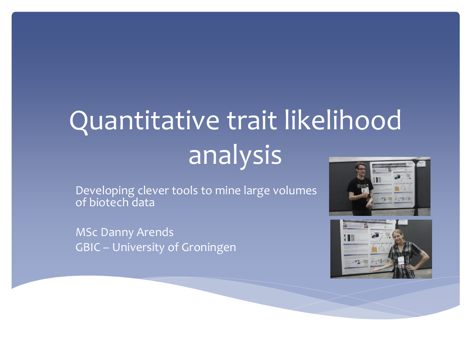# Quantitative trait likelihood analysis

Developing clever tools to mine large volumes of biotech data

MSc Danny Arends GBIC – University of Groningen



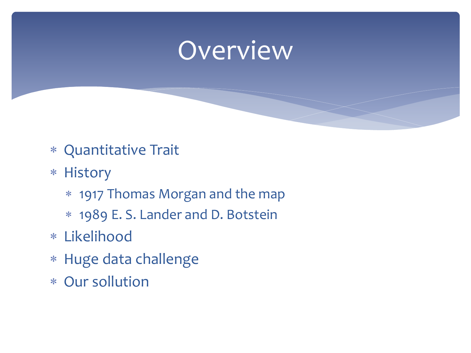### Overview

- Quantitative Trait
- \* History
	- 1917 Thomas Morgan and the map
	- 1989 E. S. Lander and D. Botstein
- Likelihood
- Huge data challenge
- Our sollution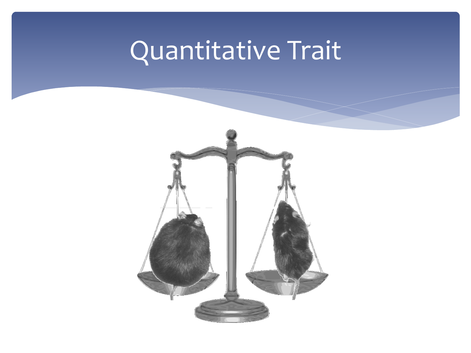# Quantitative Trait

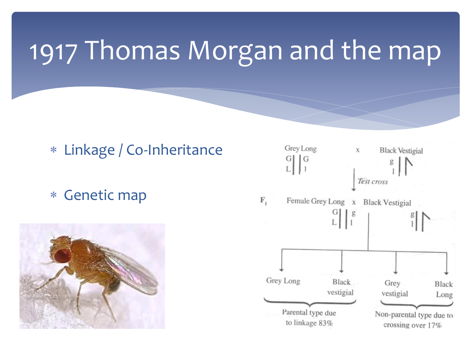### 1917 Thomas Morgan and the map

### Linkage / Co-Inheritance

Genetic map



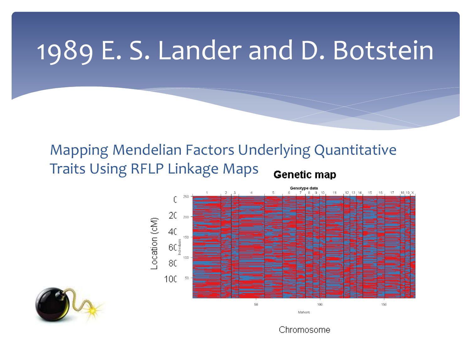### 1989 E. S. Lander and D. Botstein

#### Mapping Mendelian Factors Underlying Quantitative Traits Using RFLP Linkage Maps **Genetic map**





Chromosome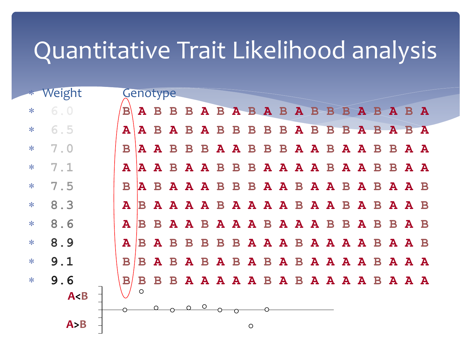### Quantitative Trait Likelihood analysis

|     | * Weight |              | Genotype                                     |  |         |  |         |  |  |  |  |  |  |
|-----|----------|--------------|----------------------------------------------|--|---------|--|---------|--|--|--|--|--|--|
| $*$ | 6.0      | $\mathbf{B}$ | A B B B A B A B A B A B B A B A B A          |  |         |  |         |  |  |  |  |  |  |
| $*$ | $6.5$    | ${\bf A}$    | A B A B A B B B B B A B B A B A B A          |  |         |  |         |  |  |  |  |  |  |
| $*$ | 7.0      | $\mathbf{B}$ | A A B B B A A B B B A A B A A B B A A        |  |         |  |         |  |  |  |  |  |  |
| $*$ | 7.1      |              | A A A B A A B B B A A A A B A A A B A A      |  |         |  |         |  |  |  |  |  |  |
| $*$ | 7.5      | $\mathbf{B}$ | A B A A A B B B A A B A A B A B A A B        |  |         |  |         |  |  |  |  |  |  |
| $*$ | 8.3      | ${\bf A}$    | B A A A A B A A A A B A A B A A A B          |  |         |  |         |  |  |  |  |  |  |
| $*$ | 8.6      | $\mathbf{A}$ | B B A A B A A A B A A A B B A B B A B        |  |         |  |         |  |  |  |  |  |  |
| $*$ | 8.9      | ${\bf A}$    | B A B B B B B A A A B A A A B A A B          |  |         |  |         |  |  |  |  |  |  |
| $*$ | 9.1      | $\mathbf{B}$ | B A B A B A B A B A B A A A B A A A          |  |         |  |         |  |  |  |  |  |  |
| $*$ | 9.6      |              | B B B <b>A A A A A B A B A A A A B A A A</b> |  |         |  |         |  |  |  |  |  |  |
|     | A < B    |              |                                              |  |         |  |         |  |  |  |  |  |  |
|     |          |              |                                              |  | $\circ$ |  |         |  |  |  |  |  |  |
|     | A > B    |              |                                              |  |         |  | $\circ$ |  |  |  |  |  |  |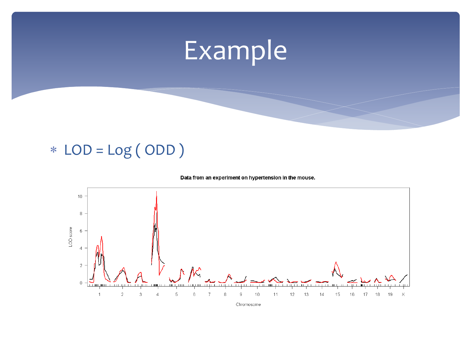### Example

### $*$  LOD = Log (ODD)

#### Data from an experiment on hypertension in the mouse.

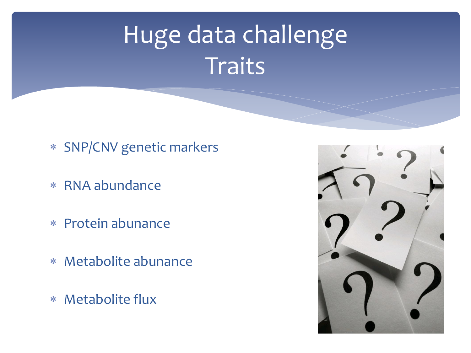### Huge data challenge **Traits**

- SNP/CNV genetic markers
- RNA abundance
- Protein abunance
- Metabolite abunance
- Metabolite flux

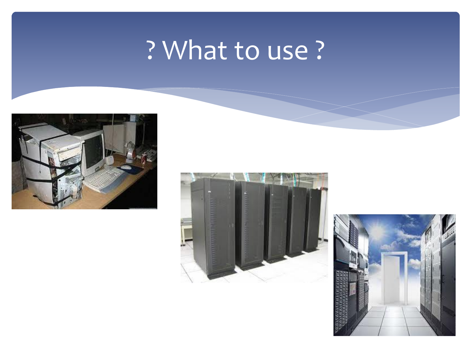### ? What to use?





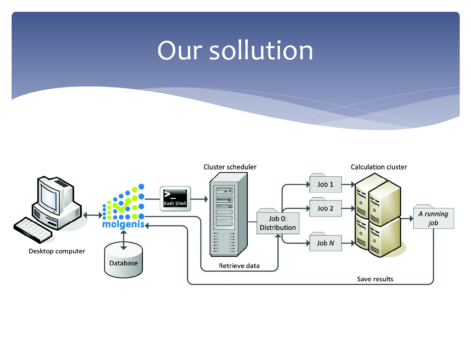### Our sollution

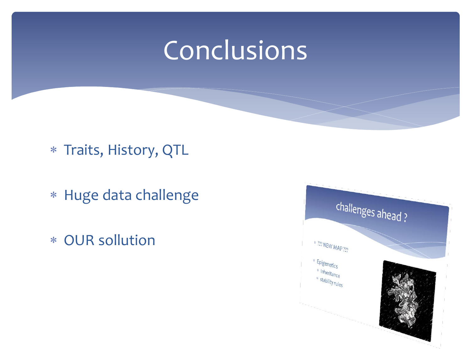### Conclusions

Traits, History, QTL

- Huge data challenge
- OUR sollution